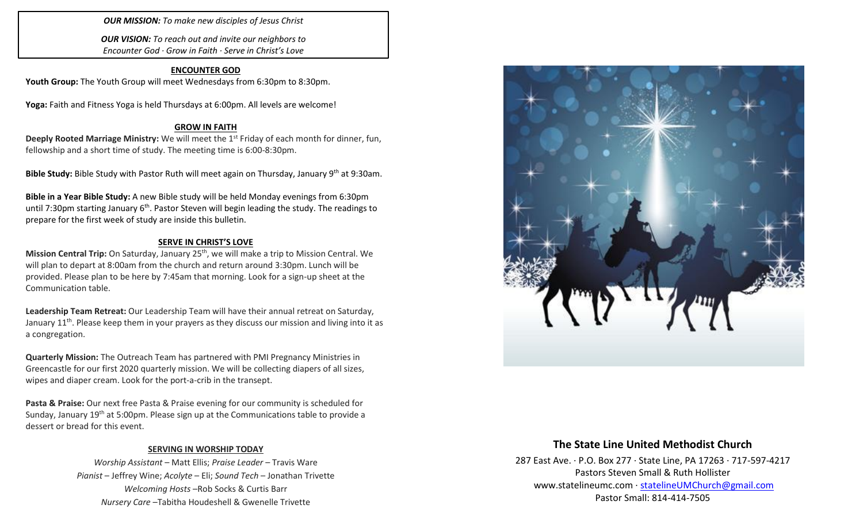## *OUR MISSION: To make new disciples of Jesus Christ*

*OUR VISION: To reach out and invite our neighbors to Encounter God · Grow in Faith · Serve in Christ's Love*

### **ENCOUNTER GOD**

Youth Group: The Youth Group will meet Wednesdays from 6:30pm to 8:30pm.

**Yoga:** Faith and Fitness Yoga is held Thursdays at 6:00pm. All levels are welcome!

#### **GROW IN FAITH**

**Deeply Rooted Marriage Ministry:** We will meet the 1<sup>st</sup> Friday of each month for dinner, fun, fellowship and a short time of study. The meeting time is 6:00-8:30pm.

**Bible Study:** Bible Study with Pastor Ruth will meet again on Thursday, January 9th at 9:30am.

**Bible in a Year Bible Study:** A new Bible study will be held Monday evenings from 6:30pm until 7:30pm starting January  $6<sup>th</sup>$ . Pastor Steven will begin leading the study. The readings to prepare for the first week of study are inside this bulletin.

#### **SERVE IN CHRIST'S LOVE**

**Mission Central Trip:** On Saturday, January 25th, we will make a trip to Mission Central. We will plan to depart at 8:00am from the church and return around 3:30pm. Lunch will be provided. Please plan to be here by 7:45am that morning. Look for a sign-up sheet at the Communication table.

**Leadership Team Retreat:** Our Leadership Team will have their annual retreat on Saturday, January 11<sup>th</sup>. Please keep them in your prayers as they discuss our mission and living into it as a congregation.

**Quarterly Mission:** The Outreach Team has partnered with PMI Pregnancy Ministries in Greencastle for our first 2020 quarterly mission. We will be collecting diapers of all sizes, wipes and diaper cream. Look for the port-a-crib in the transept.

**Pasta & Praise:** Our next free Pasta & Praise evening for our community is scheduled for Sunday, January  $19<sup>th</sup>$  at 5:00pm. Please sign up at the Communications table to provide a dessert or bread for this event.

#### **SERVING IN WORSHIP TODAY**

*Worship Assistant* – Matt Ellis; *Praise Leader* – Travis Ware *Pianist* – Jeffrey Wine; *Acolyte* – Eli; *Sound Tech* – Jonathan Trivette *Welcoming Hosts* –Rob Socks & Curtis Barr *Nursery Care* –Tabitha Houdeshell & Gwenelle Trivette



## **The State Line United Methodist Church**

287 East Ave. · P.O. Box 277 · State Line, PA 17263 · 717-597-4217 Pastors Steven Small & Ruth Hollister [www.statelineumc.com](http://www.statelineumc.com/) · [statelineUMChurch@gmail.com](mailto:statelineUMChurch@gmail.com) Pastor Small: 814-414-7505